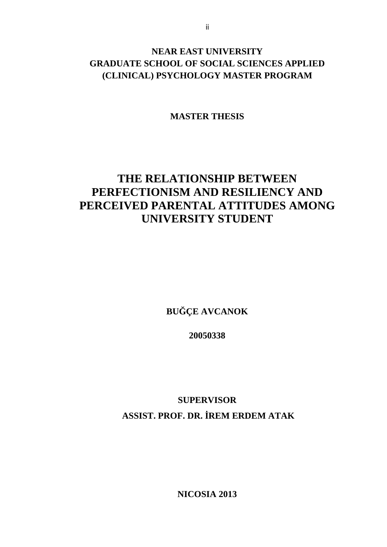## **NEAR EAST UNIVERSITY GRADUATE SCHOOL OF SOCIAL SCIENCES APPLIED** (CLINICAL) PSYCHOLOGY MASTER PROGRAM

**MASTER THESIS** 

# THE RELATIONSHIP BETWEEN PERFECTIONISM AND RESILIENCY AND PERCEIVED PARENTAL ATTITUDES AMONG **UNIVERSITY STUDENT**

**BU CE AVCANOK** 

20050338

**SUPERVISOR** ASSIST. PROF. DR. REM ERDEM ATAK

**NICOSIA 2013**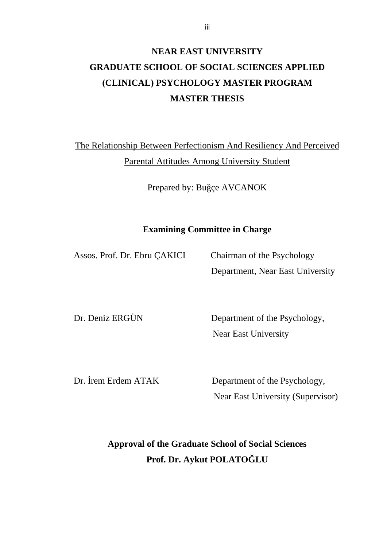# **NEAR EAST UNIVERSITY GRADUATE SCHOOL OF SOCIAL SCIENCES APPLIED (CLINICAL) PSYCHOLOGY MASTER PROGRAM MASTER THESIS**

The Relationship Between Perfectionism And Resiliency And Perceived Parental Attitudes Among University Student

Prepared by: Bu çe AVCANOK

## **Examining Committee in Charge**

Assos. Prof. Dr. Ebru ÇAKICI Chairman of the Psychology

Department, Near East University

Dr. Deniz ERGÜN Department of the Psychology, Near East University

Dr. rem Erdem ATAK Department of the Psychology, Near East University (Supervisor)

> **Approval of the Graduate School of Social Sciences Prof. Dr. Aykut POLATO LU**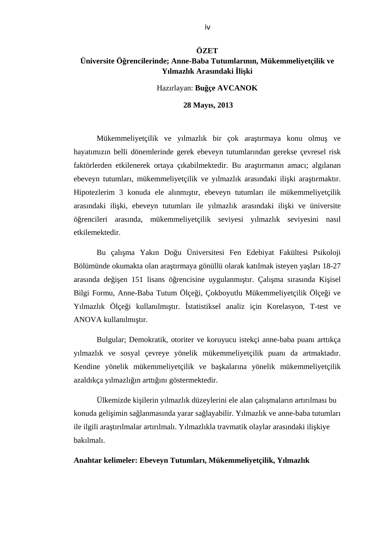### **ÖZET Üniversite Ö rencilerinde; Anne-Baba Tutumlarının, Mükemmeliyetçilik ve Yılmazlık Arasındaki li ki**

Hazırlayan: **Bu çe AVCANOK** 

 **28 Mayıs, 2013** 

Mükemmeliyetçilik ve yılmazlık bir çok ara tırmaya konu olmu ve hayatımızın belli dönemlerinde gerek ebeveyn tutumlarından gerekse çevresel risk faktörlerden etkilenerek ortaya çıkabilmektedir. Bu ara tırmanın amacı; algılanan ebeveyn tutumları, mükemmeliyetçilik ve yılmazlık arasındaki ili ki ara tırmaktır. Hipotezlerim 3 konuda ele alınmı tır, ebeveyn tutumları ile mükemmeliyetçilik arasındaki ili ki, ebeveyn tutumları ile yılmazlık arasındaki ili ki ve üniversite ö rencileri arasında, mükemmeliyetçilik seviyesi yılmazlık seviyesini nasıl etkilemektedir.

Bu çalı ma Yakın Do u Üniversitesi Fen Edebiyat Fakültesi Psikoloji Bölümünde okumakta olan ara tırmaya gönüllü olarak katılmak isteyen ya ları 18-27 arasında de i en 151 lisans ö rencisine uygulanmı tır. Çalı ma sırasında Ki isel Bilgi Formu, Anne-Baba Tutum Ölçe i, Çokboyutlu Mükemmeliyetçilik Ölçe i ve Yılmazlık Ölçe i kullanılmı tır. statistiksel analiz için Korelasyon, T-test ve ANOVA kullanılmı tır.

Bulgular; Demokratik, otoriter ve koruyucu istekçi anne-baba puanı arttıkça yılmazlık ve sosyal çevreye yönelik mükemmeliyetçilik puanı da artmaktadır. Kendine yönelik mükemmeliyetçilik ve ba kalarına yönelik mükemmeliyetçilik azaldıkça yılmazlı ın arttı ını göstermektedir.

Ülkemizde ki ilerin yılmazlık düzeylerini ele alan çalı maların artırılması bu konuda geli imin sa lanmasında yarar sa layabilir. Yılmazlık ve anne-baba tutumları ile ilgili ara tırılmalar artırılmalı. Yılmazlıkla travmatik olaylar arasındaki ili kiye bakılmalı.

#### **Anahtar kelimeler: Ebeveyn Tutumları, Mükemmeliyetçilik, Yılmazlık**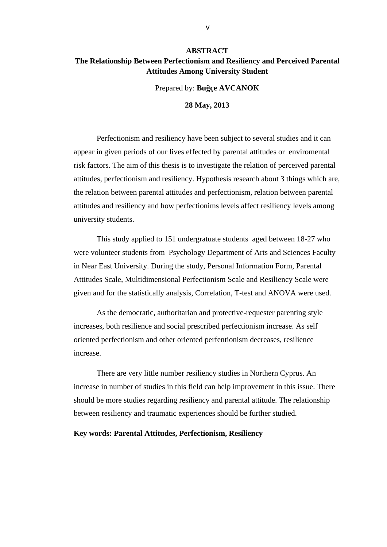#### **ABSTRACT The Relationship Between Perfectionism and Resiliency and Perceived Parental Attitudes Among University Student**

Prepared by: **Bu çe AVCANOK** 

**28 May, 2013** 

Perfectionism and resiliency have been subject to several studies and it can appear in given periods of our lives effected by parental attitudes or enviromental risk factors. The aim of this thesis is to investigate the relation of perceived parental attitudes, perfectionism and resiliency. Hypothesis research about 3 things which are, the relation between parental attitudes and perfectionism, relation between parental attitudes and resiliency and how perfectionims levels affect resiliency levels among university students.

This study applied to 151 undergratuate students aged between 18-27 who were volunteer students from Psychology Department of Arts and Sciences Faculty in Near East University. During the study, Personal Information Form, Parental Attitudes Scale, Multidimensional Perfectionism Scale and Resiliency Scale were given and for the statistically analysis, Correlation, T-test and ANOVA were used.

As the democratic, authoritarian and protective-requester parenting style increases, both resilience and social prescribed perfectionism increase. As self oriented perfectionism and other oriented perfentionism decreases, resilience increase.

There are very little number resiliency studies in Northern Cyprus. An increase in number of studies in this field can help improvement in this issue. There should be more studies regarding resiliency and parental attitude. The relationship between resiliency and traumatic experiences should be further studied.

#### **Key words: Parental Attitudes, Perfectionism, Resiliency**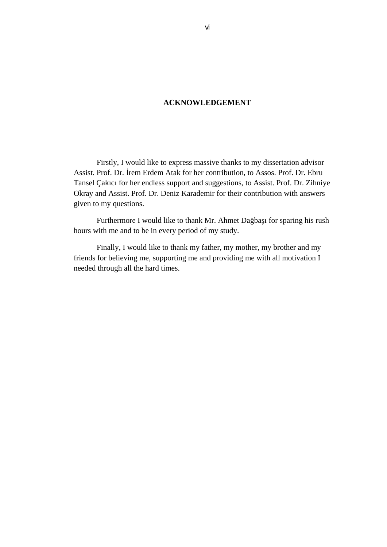#### **ACKNOWLEDGEMENT**

Firstly, I would like to express massive thanks to my dissertation advisor Assist. Prof. Dr. rem Erdem Atak for her contribution, to Assos. Prof. Dr. Ebru Tansel Çakıcı for her endless support and suggestions, to Assist. Prof. Dr. Zihniye Okray and Assist. Prof. Dr. Deniz Karademir for their contribution with answers given to my questions.

Furthermore I would like to thank Mr. Ahmet Da ba ı for sparing his rush hours with me and to be in every period of my study.

Finally, I would like to thank my father, my mother, my brother and my friends for believing me, supporting me and providing me with all motivation I needed through all the hard times.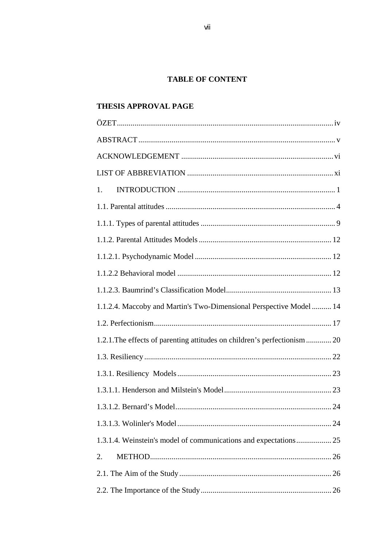#### **TABLE OF CONTENT**

### THESIS APPROVAL PAGE

| 1.                                                                       |
|--------------------------------------------------------------------------|
|                                                                          |
|                                                                          |
|                                                                          |
|                                                                          |
|                                                                          |
|                                                                          |
| 1.1.2.4. Maccoby and Martin's Two-Dimensional Perspective Model  14      |
|                                                                          |
| 1.2.1. The effects of parenting attitudes on children's perfectionism 20 |
|                                                                          |
|                                                                          |
|                                                                          |
| 1.3.1.2. Bernard's Model<br>24                                           |
|                                                                          |
| 1.3.1.4. Weinstein's model of communications and expectations 25         |
| 2.                                                                       |
|                                                                          |
|                                                                          |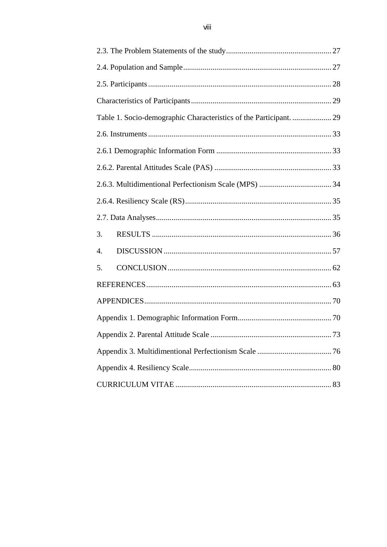| Table 1. Socio-demographic Characteristics of the Participant.  29 |      |  |  |  |  |  |  |
|--------------------------------------------------------------------|------|--|--|--|--|--|--|
|                                                                    |      |  |  |  |  |  |  |
|                                                                    |      |  |  |  |  |  |  |
|                                                                    |      |  |  |  |  |  |  |
|                                                                    |      |  |  |  |  |  |  |
|                                                                    |      |  |  |  |  |  |  |
|                                                                    |      |  |  |  |  |  |  |
| 3.                                                                 |      |  |  |  |  |  |  |
| 4.                                                                 |      |  |  |  |  |  |  |
| 5.                                                                 |      |  |  |  |  |  |  |
|                                                                    |      |  |  |  |  |  |  |
|                                                                    |      |  |  |  |  |  |  |
|                                                                    |      |  |  |  |  |  |  |
|                                                                    | . 73 |  |  |  |  |  |  |
|                                                                    |      |  |  |  |  |  |  |
|                                                                    |      |  |  |  |  |  |  |
|                                                                    |      |  |  |  |  |  |  |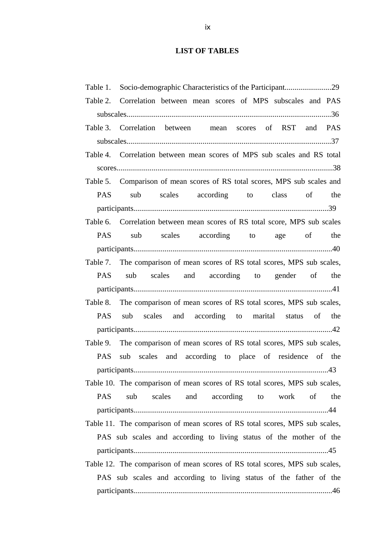## **LIST OF TABLES**

| Table 1.                                                                    |                                                                             |  |  |  |  |  |  |  |  |
|-----------------------------------------------------------------------------|-----------------------------------------------------------------------------|--|--|--|--|--|--|--|--|
|                                                                             | Table 2. Correlation between mean scores of MPS subscales and PAS           |  |  |  |  |  |  |  |  |
|                                                                             |                                                                             |  |  |  |  |  |  |  |  |
|                                                                             | Table 3. Correlation between mean scores of RST and PAS                     |  |  |  |  |  |  |  |  |
|                                                                             |                                                                             |  |  |  |  |  |  |  |  |
|                                                                             | Table 4. Correlation between mean scores of MPS sub scales and RS total     |  |  |  |  |  |  |  |  |
|                                                                             |                                                                             |  |  |  |  |  |  |  |  |
|                                                                             | Table 5. Comparison of mean scores of RS total scores, MPS sub scales and   |  |  |  |  |  |  |  |  |
| <b>PAS</b>                                                                  | sub scales according to class of the                                        |  |  |  |  |  |  |  |  |
|                                                                             |                                                                             |  |  |  |  |  |  |  |  |
|                                                                             | Table 6. Correlation between mean scores of RS total score, MPS sub scales  |  |  |  |  |  |  |  |  |
|                                                                             | PAS sub scales according to age of the                                      |  |  |  |  |  |  |  |  |
|                                                                             |                                                                             |  |  |  |  |  |  |  |  |
|                                                                             | Table 7. The comparison of mean scores of RS total scores, MPS sub scales,  |  |  |  |  |  |  |  |  |
|                                                                             | PAS sub scales and according to gender of the                               |  |  |  |  |  |  |  |  |
|                                                                             |                                                                             |  |  |  |  |  |  |  |  |
| Table 8.                                                                    | The comparison of mean scores of RS total scores, MPS sub scales,           |  |  |  |  |  |  |  |  |
| <b>PAS</b>                                                                  | sub scales and according to marital status of the                           |  |  |  |  |  |  |  |  |
|                                                                             |                                                                             |  |  |  |  |  |  |  |  |
|                                                                             | Table 9. The comparison of mean scores of RS total scores, MPS sub scales,  |  |  |  |  |  |  |  |  |
| <b>PAS</b>                                                                  | sub scales and according to place of residence of the                       |  |  |  |  |  |  |  |  |
|                                                                             |                                                                             |  |  |  |  |  |  |  |  |
|                                                                             | Table 10. The comparison of mean scores of RS total scores, MPS sub scales, |  |  |  |  |  |  |  |  |
| <b>PAS</b>                                                                  | scales<br>and according to work of<br>sub<br>the                            |  |  |  |  |  |  |  |  |
|                                                                             |                                                                             |  |  |  |  |  |  |  |  |
|                                                                             | Table 11. The comparison of mean scores of RS total scores, MPS sub scales, |  |  |  |  |  |  |  |  |
|                                                                             | PAS sub scales and according to living status of the mother of the          |  |  |  |  |  |  |  |  |
|                                                                             |                                                                             |  |  |  |  |  |  |  |  |
| Table 12. The comparison of mean scores of RS total scores, MPS sub scales, |                                                                             |  |  |  |  |  |  |  |  |
|                                                                             | PAS sub scales and according to living status of the father of the          |  |  |  |  |  |  |  |  |
|                                                                             |                                                                             |  |  |  |  |  |  |  |  |